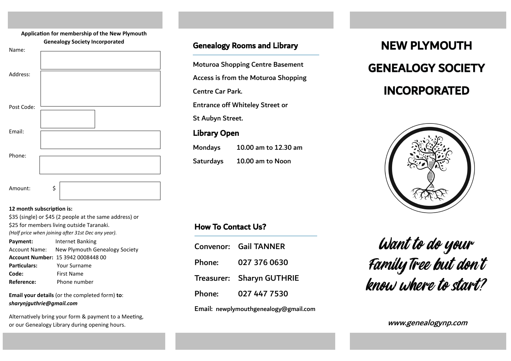# **Application for membership of the New Plymouth Genealogy Society Incorporated**



#### **12 month subscription is:**

| \$35 (single) or \$45 (2 people at the same address) or |                                              |  |
|---------------------------------------------------------|----------------------------------------------|--|
| \$25 for members living outside Taranaki.               |                                              |  |
| (Half price when joining after 31st Dec any year).      |                                              |  |
| Payment:                                                | Internet Banking                             |  |
|                                                         | Account Name: New Plymouth Genealogy Society |  |
| Account Number: 15 3942 0008448 00                      |                                              |  |
| Particulars:                                            | Your Surname                                 |  |
| Code:                                                   | <b>First Name</b>                            |  |
| Reference:                                              | Phone number                                 |  |

**Email your details** (or the completed form) **to**: *sharynjguthrie@gmail.com*

Alternatively bring your form & payment to a Meeting, or our Genealogy Library during opening hours.

# Genealogy Rooms and Library

Moturoa Shopping Centre Basement

Access is from the Moturoa Shopping

Centre Car Park.

Entrance off Whiteley Street or

St Aubyn Street.

# Library Open

| Mondays          | 10.00 am to 12.30 am |
|------------------|----------------------|
| <b>Saturdays</b> | 10.00 am to Noon     |

# NEW PLYMOUTH GENEALOGY SOCIETY INCORPORATED



# How To Contact Us?

|                                       | Convenor: Gail TANNER     |  |
|---------------------------------------|---------------------------|--|
| Phone:                                | 027 376 0630              |  |
|                                       | Treasurer: Sharyn GUTHRIE |  |
| Phone:                                | 027 447 7530              |  |
| Email: newplymouthgenealogy@gmail.com |                           |  |

Want to do your FamilyTree but don't know where to start?

www.genealogynp.com